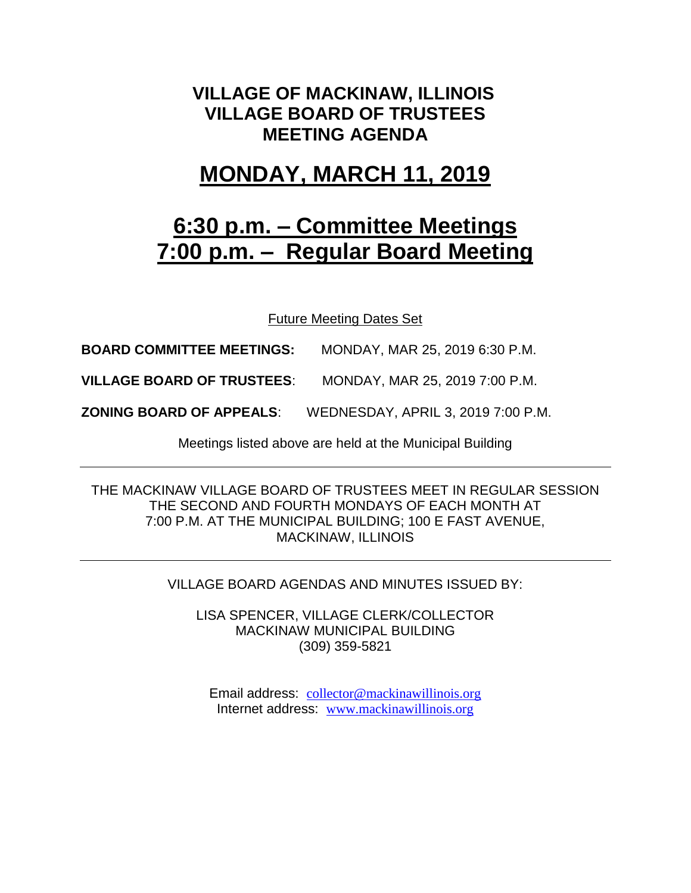## **VILLAGE OF MACKINAW, ILLINOIS VILLAGE BOARD OF TRUSTEES MEETING AGENDA**

# **MONDAY, MARCH 11, 2019**

# **6:30 p.m. – Committee Meetings 7:00 p.m. – Regular Board Meeting**

Future Meeting Dates Set

**BOARD COMMITTEE MEETINGS:** MONDAY, MAR 25, 2019 6:30 P.M.

**VILLAGE BOARD OF TRUSTEES**: MONDAY, MAR 25, 2019 7:00 P.M.

**ZONING BOARD OF APPEALS**: WEDNESDAY, APRIL 3, 2019 7:00 P.M.

Meetings listed above are held at the Municipal Building

THE MACKINAW VILLAGE BOARD OF TRUSTEES MEET IN REGULAR SESSION THE SECOND AND FOURTH MONDAYS OF EACH MONTH AT 7:00 P.M. AT THE MUNICIPAL BUILDING; 100 E FAST AVENUE, MACKINAW, ILLINOIS

VILLAGE BOARD AGENDAS AND MINUTES ISSUED BY:

LISA SPENCER, VILLAGE CLERK/COLLECTOR MACKINAW MUNICIPAL BUILDING (309) 359-5821

Email address: [collector@mackinawillinois.org](mailto:collector@mackinawillinois.org) Internet address: [www.mackinawillinois.org](http://www.mackinawillinois.org/)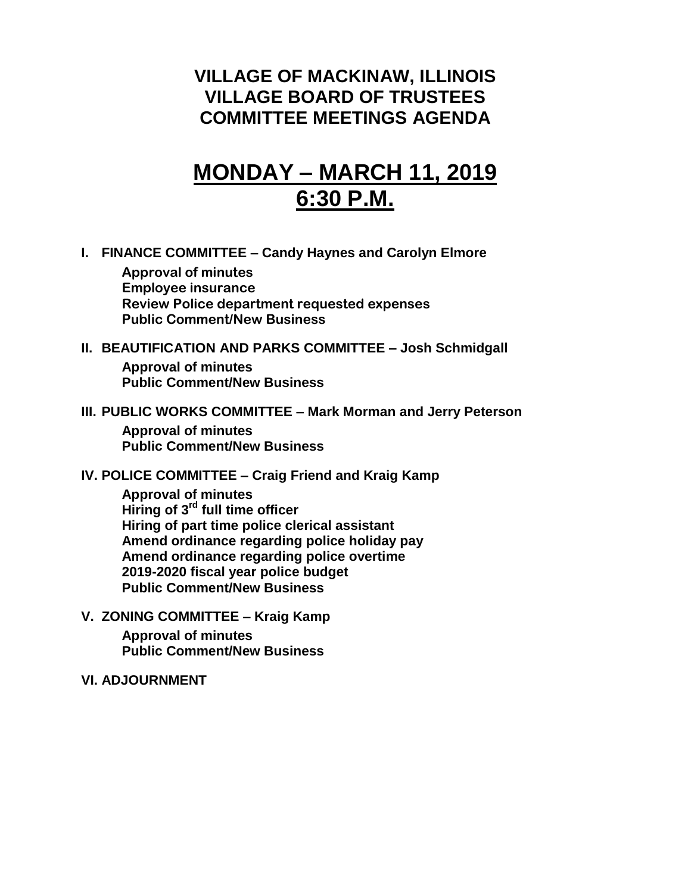## **VILLAGE OF MACKINAW, ILLINOIS VILLAGE BOARD OF TRUSTEES COMMITTEE MEETINGS AGENDA**

# **MONDAY – MARCH 11, 2019 6:30 P.M.**

**I. FINANCE COMMITTEE – Candy Haynes and Carolyn Elmore**

**Approval of minutes Employee insurance Review Police department requested expenses Public Comment/New Business**

- **II. BEAUTIFICATION AND PARKS COMMITTEE – Josh Schmidgall Approval of minutes Public Comment/New Business**
- **III. PUBLIC WORKS COMMITTEE – Mark Morman and Jerry Peterson**

**Approval of minutes Public Comment/New Business**

**IV. POLICE COMMITTEE – Craig Friend and Kraig Kamp**

**Approval of minutes Hiring of 3rd full time officer Hiring of part time police clerical assistant Amend ordinance regarding police holiday pay Amend ordinance regarding police overtime 2019-2020 fiscal year police budget Public Comment/New Business**

**V. ZONING COMMITTEE – Kraig Kamp Approval of minutes Public Comment/New Business**

**VI. ADJOURNMENT**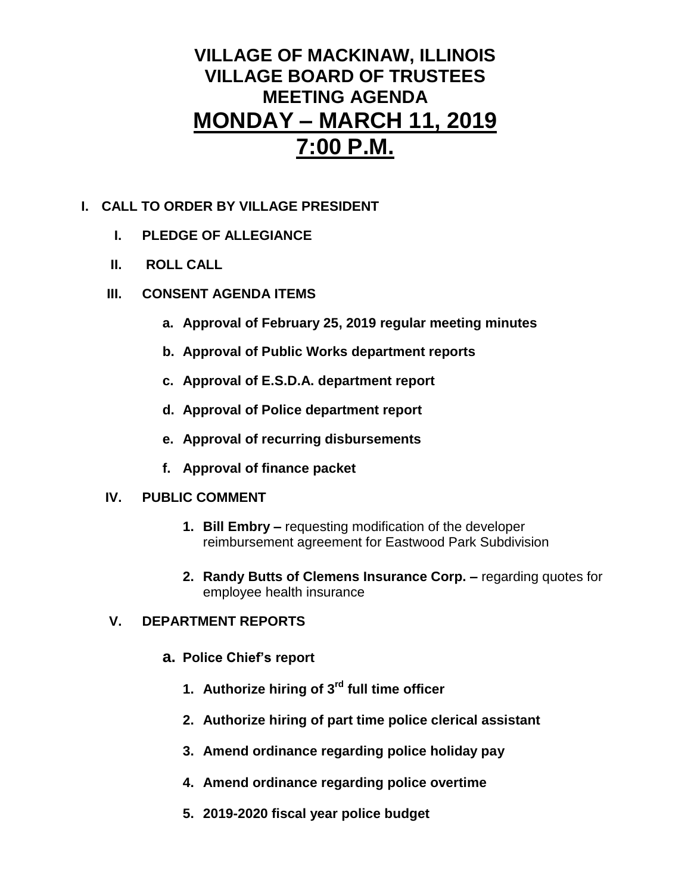## **VILLAGE OF MACKINAW, ILLINOIS VILLAGE BOARD OF TRUSTEES MEETING AGENDA MONDAY – MARCH 11, 2019 7:00 P.M.**

#### **I. CALL TO ORDER BY VILLAGE PRESIDENT**

- **I. PLEDGE OF ALLEGIANCE**
- **II. ROLL CALL**
- **III. CONSENT AGENDA ITEMS** 
	- **a. Approval of February 25, 2019 regular meeting minutes**
	- **b. Approval of Public Works department reports**
	- **c. Approval of E.S.D.A. department report**
	- **d. Approval of Police department report**
	- **e. Approval of recurring disbursements**
	- **f. Approval of finance packet**

#### **IV. PUBLIC COMMENT**

- **1. Bill Embry –** requesting modification of the developer reimbursement agreement for Eastwood Park Subdivision
- **2. Randy Butts of Clemens Insurance Corp. –** regarding quotes for employee health insurance

#### **V. DEPARTMENT REPORTS**

- **a. Police Chief's report**
	- **1. Authorize hiring of 3rd full time officer**
	- **2. Authorize hiring of part time police clerical assistant**
	- **3. Amend ordinance regarding police holiday pay**
	- **4. Amend ordinance regarding police overtime**
	- **5. 2019-2020 fiscal year police budget**